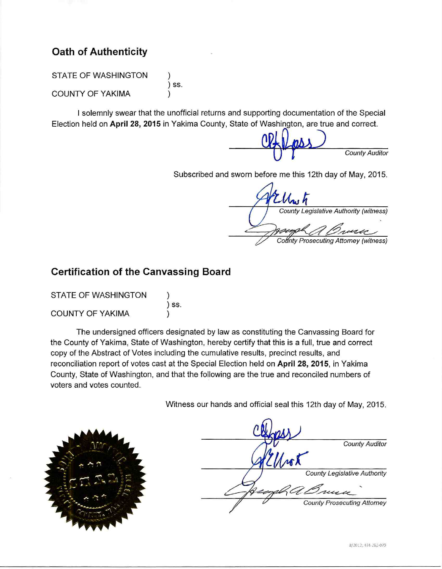# **Oath of Authenticity**

STATE OF WASHINGTON

**COUNTY OF YAKIMA** 

) SS.

I solemnly swear that the unofficial returns and supporting documentation of the Special Election held on April 28, 2015 in Yakima County, State of Washington, are true and correct.

**County Auditor** 

Subscribed and sworn before me this 12th day of May, 2015.

County Legislative Authority (witness) County Prosecuting Attorney (witness)

# **Certification of the Canvassing Board**

| STATE OF WASHINGTON     |       |
|-------------------------|-------|
|                         | ) SS. |
| <b>COUNTY OF YAKIMA</b> |       |

The undersigned officers designated by law as constituting the Canvassing Board for the County of Yakima, State of Washington, hereby certify that this is a full, true and correct copy of the Abstract of Votes including the cumulative results, precinct results, and reconciliation report of votes cast at the Special Election held on April 28, 2015, in Yakima County, State of Washington, and that the following are the true and reconciled numbers of voters and votes counted.

Witness our hands and official seal this 12th day of May, 2015.



|    | <b>County Auditor</b>               |
|----|-------------------------------------|
| wX |                                     |
|    | <b>County Legislative Authority</b> |
|    | Grunn                               |
|    | <b>County Prosecuting Attorney</b>  |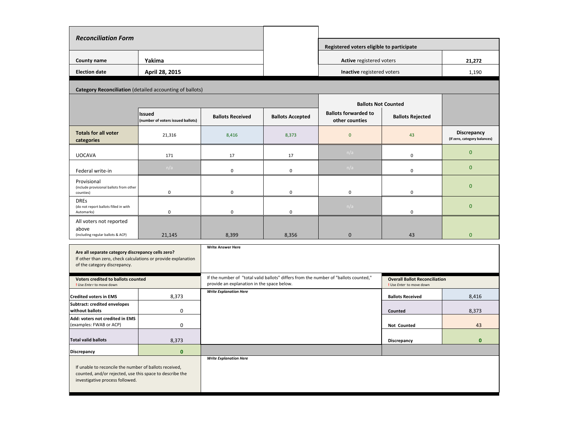| <b>Reconciliation Form</b>                                                                                                                            |                                                          |                                                                                                                                    |                         |                                                           |                                                                  |                                             |
|-------------------------------------------------------------------------------------------------------------------------------------------------------|----------------------------------------------------------|------------------------------------------------------------------------------------------------------------------------------------|-------------------------|-----------------------------------------------------------|------------------------------------------------------------------|---------------------------------------------|
|                                                                                                                                                       |                                                          |                                                                                                                                    |                         | Registered voters eligible to participate                 |                                                                  |                                             |
| County name                                                                                                                                           | Yakima                                                   |                                                                                                                                    |                         | Active registered voters                                  |                                                                  | 21,272                                      |
| <b>Election date</b>                                                                                                                                  | April 28, 2015                                           |                                                                                                                                    |                         | Inactive registered voters                                |                                                                  | 1,190                                       |
|                                                                                                                                                       |                                                          |                                                                                                                                    |                         |                                                           |                                                                  |                                             |
|                                                                                                                                                       | Category Reconciliation (detailed accounting of ballots) |                                                                                                                                    |                         |                                                           |                                                                  |                                             |
|                                                                                                                                                       |                                                          |                                                                                                                                    |                         | <b>Ballots Not Counted</b><br><b>Ballots forwarded to</b> |                                                                  |                                             |
|                                                                                                                                                       | Issued<br>(number of voters issued ballots)              | <b>Ballots Received</b>                                                                                                            | <b>Ballots Accepted</b> | other counties                                            | <b>Ballots Rejected</b>                                          |                                             |
| <b>Totals for all voter</b><br>categories                                                                                                             | 21,316                                                   | 8,416                                                                                                                              | 8,373                   | $\overline{0}$                                            | 43                                                               | Discrepancy<br>(If zero, category balances) |
| <b>UOCAVA</b>                                                                                                                                         | 171                                                      | 17                                                                                                                                 | 17                      | n/a                                                       | $\mathbf 0$                                                      | $\mathbf{0}$                                |
| Federal write-in                                                                                                                                      | n/a                                                      | $\mathsf 0$                                                                                                                        | $\mathsf 0$             | n/a                                                       | $\mathbf 0$                                                      | $\overline{0}$                              |
| Provisional<br>(include provisional ballots from other<br>counties)                                                                                   | 0                                                        | $\mathbf 0$                                                                                                                        | $\Omega$                | 0                                                         | $\Omega$                                                         | $\overline{0}$                              |
| <b>DREs</b><br>(do not report ballots filled in with<br>Automarks)                                                                                    | 0                                                        | $\mathbf 0$                                                                                                                        | $\mathbf 0$             | n/a                                                       | 0                                                                | $\overline{0}$                              |
| All voters not reported<br>above<br>(including regular ballots & ACP)                                                                                 | 21,145                                                   | 8,399                                                                                                                              | 8,356                   | $\mathbf 0$                                               | 43                                                               | $\overline{0}$                              |
| Are all separate category discrepancy cells zero?<br>If other than zero, check calculations or provide explanation<br>of the category discrepancy.    |                                                          | <b>Write Answer Here</b>                                                                                                           |                         |                                                           |                                                                  |                                             |
| Voters credited to ballots counted<br>! Use Enter to move down                                                                                        |                                                          | If the number of "total valid ballots" differs from the number of "ballots counted,"<br>provide an explanation in the space below. |                         |                                                           | <b>Overall Ballot Reconciliation</b><br>! Use Enter to move down |                                             |
| <b>Credited voters in EMS</b>                                                                                                                         | 8,373                                                    | <b>Write Explanation Here</b>                                                                                                      |                         |                                                           | <b>Ballots Received</b>                                          | 8,416                                       |
| <b>Subtract: credited envelopes</b><br>without ballots                                                                                                | $\mathbf 0$                                              |                                                                                                                                    |                         |                                                           | Counted                                                          | 8,373                                       |
| Add: voters not credited in EMS<br>(examples: FWAB or ACP)                                                                                            | $\mathbf 0$                                              |                                                                                                                                    |                         |                                                           | Not Counted                                                      | 43                                          |
| <b>Total valid ballots</b>                                                                                                                            | 8,373                                                    |                                                                                                                                    |                         |                                                           | Discrepancy                                                      | $\mathbf{0}$                                |
| <b>Discrepancy</b>                                                                                                                                    | $\mathbf{0}$                                             |                                                                                                                                    |                         |                                                           |                                                                  |                                             |
| If unable to reconcile the number of ballots received,<br>counted, and/or rejected, use this space to describe the<br>investigative process followed. |                                                          | <b>Write Explanation Here</b>                                                                                                      |                         |                                                           |                                                                  |                                             |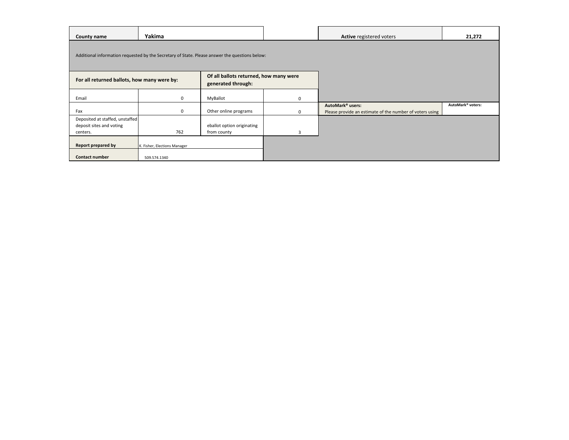| County name                                                             | Yakima                                                                                         |                                                              |          | <b>Active registered voters</b>                                                          | 21,272            |
|-------------------------------------------------------------------------|------------------------------------------------------------------------------------------------|--------------------------------------------------------------|----------|------------------------------------------------------------------------------------------|-------------------|
|                                                                         | Additional information requested by the Secretary of State. Please answer the questions below: |                                                              |          |                                                                                          |                   |
| For all returned ballots, how many were by:                             |                                                                                                | Of all ballots returned, how many were<br>generated through: |          |                                                                                          |                   |
| Email                                                                   | 0                                                                                              | MyBallot                                                     | $\Omega$ |                                                                                          |                   |
| Fax                                                                     | 0                                                                                              | Other online programs                                        | 0        | AutoMark <sup>®</sup> users:<br>Please provide an estimate of the number of voters using | AutoMark® voters: |
| Deposited at staffed, unstaffed<br>deposit sites and voting<br>centers. | 762                                                                                            | eballot option originating<br>from county                    | 3        |                                                                                          |                   |
| Report prepared by                                                      | K. Fisher, Elections Manager                                                                   |                                                              |          |                                                                                          |                   |
| <b>Contact number</b>                                                   | 509.574.1340                                                                                   |                                                              |          |                                                                                          |                   |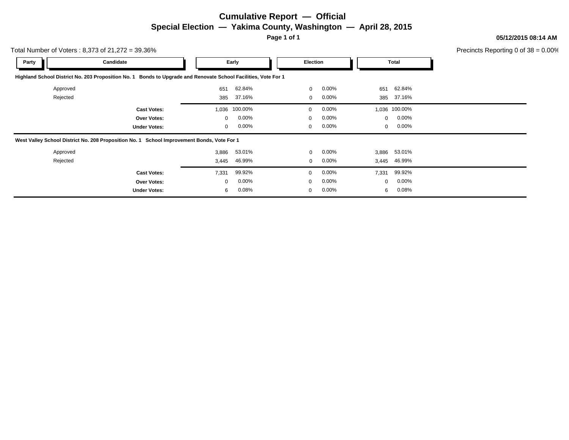# **Cumulative Report — Official Special Election — Yakima County, Washington — April 28, 2015**

**Page 1 of 1**

**05/12/2015 08:14 AM**

Precincts Reporting 0 of 38 = 0.00%

| Total Number of Voters: $8,373$ of $21,272 = 39.36\%$ |                                                                                                                |              |          |              |          |              |               | Precincts Reporting 0 of |
|-------------------------------------------------------|----------------------------------------------------------------------------------------------------------------|--------------|----------|--------------|----------|--------------|---------------|--------------------------|
| Party                                                 | Candidate                                                                                                      |              | Early    | Election     |          |              | <b>Total</b>  |                          |
|                                                       | Highland School District No. 203 Proposition No. 1 Bonds to Upgrade and Renovate School Facilities, Vote For 1 |              |          |              |          |              |               |                          |
| Approved                                              |                                                                                                                | 651          | 62.84%   | $\mathbf{0}$ | $0.00\%$ | 651          | 62.84%        |                          |
| Rejected                                              |                                                                                                                | 385          | 37.16%   | 0            | $0.00\%$ | 385          | 37.16%        |                          |
|                                                       | <b>Cast Votes:</b>                                                                                             | 1,036        | 100.00%  | $\Omega$     | $0.00\%$ |              | 1,036 100.00% |                          |
|                                                       | Over Votes:                                                                                                    | $\mathbf{0}$ | 0.00%    | $\mathbf 0$  | $0.00\%$ | $\mathbf{0}$ | $0.00\%$      |                          |
|                                                       | <b>Under Votes:</b>                                                                                            | 0            | 0.00%    | $\mathbf 0$  | $0.00\%$ | $\mathbf{0}$ | $0.00\%$      |                          |
|                                                       | West Valley School District No. 208 Proposition No. 1 School Improvement Bonds, Vote For 1                     |              |          |              |          |              |               |                          |
| Approved                                              |                                                                                                                | 3,886        | 53.01%   | $\mathbf 0$  | $0.00\%$ | 3,886        | 53.01%        |                          |
| Rejected                                              |                                                                                                                | 3,445        | 46.99%   | $\mathbf 0$  | $0.00\%$ |              | 3,445 46.99%  |                          |
|                                                       | <b>Cast Votes:</b>                                                                                             | 7,331        | 99.92%   | $\Omega$     | $0.00\%$ | 7,331        | 99.92%        |                          |
|                                                       | <b>Over Votes:</b>                                                                                             | $\mathbf{0}$ | $0.00\%$ | $\Omega$     | $0.00\%$ | $\mathbf{0}$ | $0.00\%$      |                          |
|                                                       | <b>Under Votes:</b>                                                                                            | 6            | $0.08\%$ | $\mathbf 0$  | $0.00\%$ | 6            | 0.08%         |                          |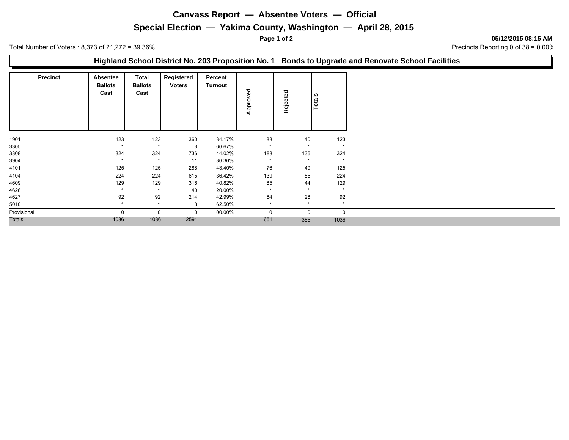### **Canvass Report — Absentee Voters — Official**

## **Special Election — Yakima County, Washington — April 28, 2015**

**Page 1 of 2 05/12/2015 08:15 AM**

Total Number of Voters : 8,373 of 21,272 = 39.36% 38 = 0.00%

|                 |                                    |                                 |                             |                           |                  |          |         |         | Highland School District No. 203 Proposition No. 1 Bonds to Upgrade and Renovate School Facilities |
|-----------------|------------------------------------|---------------------------------|-----------------------------|---------------------------|------------------|----------|---------|---------|----------------------------------------------------------------------------------------------------|
| <b>Precinct</b> | Absentee<br><b>Ballots</b><br>Cast | Total<br><b>Ballots</b><br>Cast | Registered<br><b>Voters</b> | Percent<br><b>Turnout</b> | ᄝ<br>۰<br>윤<br>⋖ | Rejected | Totals  |         |                                                                                                    |
| 1901            | 123                                | 123                             | 360                         | 34.17%                    | 83               |          | 40      | 123     |                                                                                                    |
| 3305            |                                    |                                 | 3                           | 66.67%                    |                  |          |         |         |                                                                                                    |
| 3308            | 324                                | 324                             | 736                         | 44.02%                    | 188              | 136      |         | 324     |                                                                                                    |
| 3904            |                                    |                                 | 11                          | 36.36%                    |                  |          | $\star$ | $\star$ |                                                                                                    |
| 4101            | 125                                | 125                             | 288                         | 43.40%                    | 76               |          | 49      | 125     |                                                                                                    |
| 4104            | 224                                | 224                             | 615                         | 36.42%                    | 139              |          | 85      | 224     |                                                                                                    |
| 4609            | 129                                | 129                             | 316                         | 40.82%                    | 85               |          | 44      | 129     |                                                                                                    |
| 4626            |                                    | $\star$                         | 40                          | 20.00%                    |                  |          |         | $\star$ |                                                                                                    |
| 4627            | 92                                 | 92                              | 214                         | 42.99%                    | 64               |          | 28      | 92      |                                                                                                    |
| 5010            | $\star$                            | $\star$                         | 8                           | 62.50%                    | $\star$          |          | $\star$ | $\star$ |                                                                                                    |
| Provisional     | $\Omega$                           | 0                               | 0                           | 00.00%                    | $\Omega$         |          | 0       | 0       |                                                                                                    |
| Totals          | 1036                               | 1036                            | 2591                        |                           | 651              | 385      |         | 1036    |                                                                                                    |
|                 |                                    |                                 |                             |                           |                  |          |         |         |                                                                                                    |